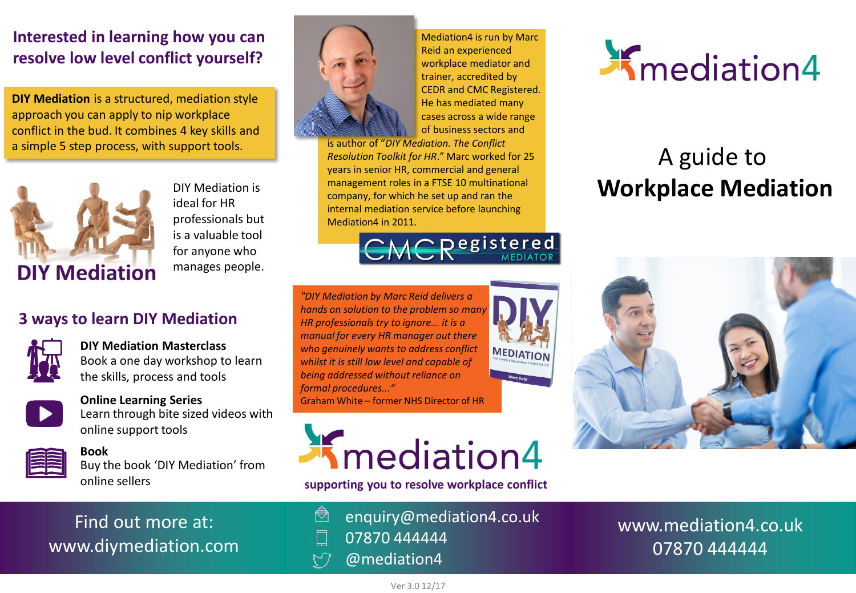# **Interested in learning how you can resolve low level conflict yourself?**

**DIY Mediation** is a structured, mediation style approach you can apply to nip workplace conflict in the bud. It combines 4 key skills and a simple 5 step process, with support tools.



DIY Mediation is ideal for HR professionals but is a valuable tool for anyone who manages people.

# **3 ways to learn DIY Mediation**



**DIY Mediation Masterclass** Book a one day workshop to learn the skills, process and tools



## **Online Learning Series** Learn through bite sized videos with

Find out more at:

www.diymediation.com

online support tools



**Book** Buy the book 'DIY Mediation' from online sellers



Mediation4 is run by Marc Reid an experienced workplace mediator and trainer, accredited by CEDR and CMC Registered. He has mediated many cases across a wide range of business sectors and

is author of "*DIY Mediation. The Conflict Resolution Toolkit for HR*." Marc worked for 25 years in senior HR, commercial and general management roles in a FTSE 10 multinational company, for which he set up and ran the internal mediation service before launching Mediation4 in 2011.



MEDIATION

*"DIY Mediation by Marc Reid delivers a hands on solution to the problem so man HR professionals try to ignore... it is a manual for every HR manager out there who genuinely wants to address conflict whilst it is still low level and capable of being addressed without reliance on formal procedures..."* Graham White – former NHS Director of HR



**supporting you to resolve workplace conflict**

- ◓ enquiry@mediation4.co.uk 07870 444444 口
- @mediation4  $\zeta$



# A guide to **Workplace Mediation**



www.mediation4.co.uk 07870 444444

# Ver 3.0 12/17